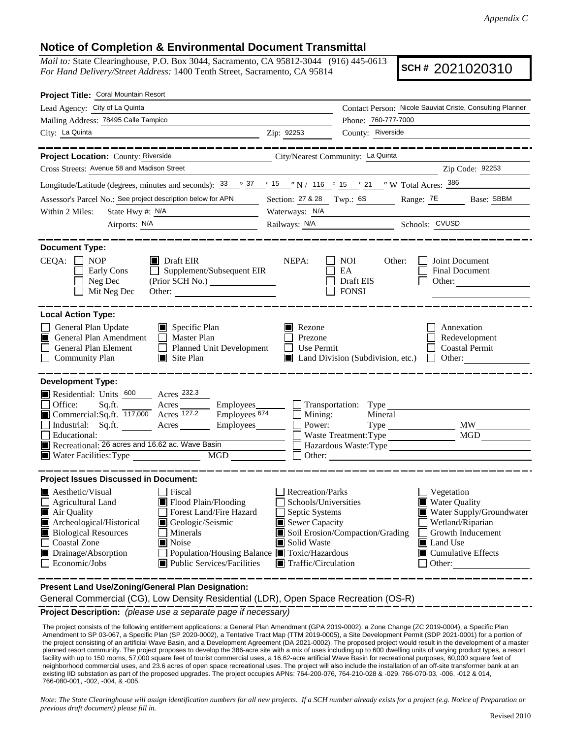## **Notice of Completion & Environmental Document Transmittal**

*Mail to:* State Clearinghouse, P.O. Box 3044, Sacramento, CA 95812-3044 (916) 445-0613 *For Hand Delivery/Street Address:* 1400 Tenth Street, Sacramento, CA 95814

**SCH #** 2021020310

| Project Title: Coral Mountain Resort                                                                                                                                                                                                                                                                                                                                                                                                                                                                                                                                                                                  |                                                                                                                                          |                                                                                                                                                                                                       |           |           |                      |         |        |       |           |     |                       |         |        |      |           |      |                          |                                                                     |
|-----------------------------------------------------------------------------------------------------------------------------------------------------------------------------------------------------------------------------------------------------------------------------------------------------------------------------------------------------------------------------------------------------------------------------------------------------------------------------------------------------------------------------------------------------------------------------------------------------------------------|------------------------------------------------------------------------------------------------------------------------------------------|-------------------------------------------------------------------------------------------------------------------------------------------------------------------------------------------------------|-----------|-----------|----------------------|---------|--------|-------|-----------|-----|-----------------------|---------|--------|------|-----------|------|--------------------------|---------------------------------------------------------------------|
| Lead Agency: City of La Quinta                                                                                                                                                                                                                                                                                                                                                                                                                                                                                                                                                                                        |                                                                                                                                          | Contact Person: Nicole Sauviat Criste, Consulting Planner                                                                                                                                             |           |           |                      |         |        |       |           |     |                       |         |        |      |           |      |                          |                                                                     |
| Mailing Address: 78495 Calle Tampico                                                                                                                                                                                                                                                                                                                                                                                                                                                                                                                                                                                  |                                                                                                                                          | Phone: 760-777-7000                                                                                                                                                                                   |           |           |                      |         |        |       |           |     |                       |         |        |      |           |      |                          |                                                                     |
| City: La Quinta<br>$\frac{1}{2}$ Zip: 92253                                                                                                                                                                                                                                                                                                                                                                                                                                                                                                                                                                           |                                                                                                                                          | County: Riverside                                                                                                                                                                                     |           |           |                      |         |        |       |           |     |                       |         |        |      |           |      |                          |                                                                     |
| __________________<br><b>Project Location: County: Riverside</b><br>City/Nearest Community: La Quinta                                                                                                                                                                                                                                                                                                                                                                                                                                                                                                                 |                                                                                                                                          | -----------------                                                                                                                                                                                     |           |           |                      |         |        |       |           |     |                       |         |        |      |           |      |                          |                                                                     |
| Cross Streets: Avenue 58 and Madison Street                                                                                                                                                                                                                                                                                                                                                                                                                                                                                                                                                                           |                                                                                                                                          | Zip Code: 92253<br><u> 1980 - Johann Barn, mars an t-Amerikaansk kommunister (</u>                                                                                                                    |           |           |                      |         |        |       |           |     |                       |         |        |      |           |      |                          |                                                                     |
| Longitude/Latitude (degrees, minutes and seconds): $\frac{33}{9}$ $\frac{37}{15}$ $\frac{15}{10}$ N / 116 $\degree$ 15 $\degree$ 21 "W Total Acres: $\frac{386}{9}$                                                                                                                                                                                                                                                                                                                                                                                                                                                   |                                                                                                                                          |                                                                                                                                                                                                       |           |           |                      |         |        |       |           |     |                       |         |        |      |           |      |                          |                                                                     |
| Assessor's Parcel No.: See project description below for APN                                                                                                                                                                                                                                                                                                                                                                                                                                                                                                                                                          |                                                                                                                                          | Section: 27 & 28 Twp.: 6S Range: <sup>7E</sup> Base: SBBM                                                                                                                                             |           |           |                      |         |        |       |           |     |                       |         |        |      |           |      |                          |                                                                     |
| State Hwy #: $N/A$<br>Within 2 Miles:                                                                                                                                                                                                                                                                                                                                                                                                                                                                                                                                                                                 |                                                                                                                                          | Waterways: N/A                                                                                                                                                                                        |           |           |                      |         |        |       |           |     |                       |         |        |      |           |      |                          |                                                                     |
| Airports: N/A                                                                                                                                                                                                                                                                                                                                                                                                                                                                                                                                                                                                         |                                                                                                                                          | Railways: N/A Schools: CVUSD                                                                                                                                                                          |           |           |                      |         |        |       |           |     |                       |         |        |      |           |      |                          |                                                                     |
| <b>Document Type:</b><br>$CEQA: \Box NP$<br>$\blacksquare$ Draft EIR<br>Early Cons<br>$\Box$ Supplement/Subsequent EIR<br>(Prior SCH No.) _______________<br>Neg Dec<br>Mit Neg Dec<br>Other: $\qquad \qquad$                                                                                                                                                                                                                                                                                                                                                                                                         | NEPA:                                                                                                                                    | <b>NOI</b><br>Other:<br>Joint Document<br>EA<br>Final Document<br>Draft EIS<br>Other:<br><b>FONSI</b>                                                                                                 |           |           |                      |         |        |       |           |     |                       |         |        |      |           |      |                          |                                                                     |
| <b>Local Action Type:</b><br>$\Box$ Specific Plan<br>General Plan Update<br>General Plan Amendment<br>Master Plan<br>General Plan Element<br>Planned Unit Development<br><b>Community Plan</b><br>$\Box$ Site Plan                                                                                                                                                                                                                                                                                                                                                                                                    | Rezone<br>Prezone<br>П<br>Use Permit                                                                                                     | Annexation<br>Redevelopment<br><b>Coastal Permit</b><br>Land Division (Subdivision, etc.)<br>$\Box$ Other:                                                                                            |           |           |                      |         |        |       |           |     |                       |         |        |      |           |      |                          |                                                                     |
| <b>Development Type:</b><br>Residential: Units 600 Acres 232.3<br><table>\n<tbody>\n<tr>\n<th>Office:</th>\n<th>Sq.fit.</th>\n<th>Access</th>\n<th>Employees</th>\n</tr>\n<tr>\n<td>□ Commercial:Sq.fit.</td>\n<td>117,000</td>\n<td>Access</td>\n<td>127.2</td>\n<td>Employees</td>\n<td>674</td>\n</tr>\n<tr>\n<td>□ Industrial: Sq.fit.</td>\n<td>39, ft.</td>\n<td>Access</td>\n<td>27.2</td>\n<td>Employees</td>\n<td>27.4</td>\n</tr>\n</tbody>\n</table><br>$Employes \overline{674}$<br>Employees________<br>Educational:<br>Recreational: 26 acres and 16.62 ac. Wave Basin<br>Water Facilities: Type<br>MGD | Office:                                                                                                                                  | Sq.fit.                                                                                                                                                                                               | Access    | Employees | □ Commercial:Sq.fit. | 117,000 | Access | 127.2 | Employees | 674 | □ Industrial: Sq.fit. | 39, ft. | Access | 27.2 | Employees | 27.4 | $\Box$ Mining:<br>Power: | Mineral<br>Type MW<br>Waste Treatment: Type<br>Hazardous Waste:Type |
| Office:                                                                                                                                                                                                                                                                                                                                                                                                                                                                                                                                                                                                               | Sq.fit.                                                                                                                                  | Access                                                                                                                                                                                                | Employees |           |                      |         |        |       |           |     |                       |         |        |      |           |      |                          |                                                                     |
| □ Commercial:Sq.fit.                                                                                                                                                                                                                                                                                                                                                                                                                                                                                                                                                                                                  | 117,000                                                                                                                                  | Access                                                                                                                                                                                                | 127.2     | Employees | 674                  |         |        |       |           |     |                       |         |        |      |           |      |                          |                                                                     |
| □ Industrial: Sq.fit.                                                                                                                                                                                                                                                                                                                                                                                                                                                                                                                                                                                                 | 39, ft.                                                                                                                                  | Access                                                                                                                                                                                                | 27.2      | Employees | 27.4                 |         |        |       |           |     |                       |         |        |      |           |      |                          |                                                                     |
| <b>Project Issues Discussed in Document:</b><br>Aesthetic/Visual<br>  Fiscal<br>Flood Plain/Flooding<br>Agricultural Land<br>Forest Land/Fire Hazard<br>■ Air Quality<br>Geologic/Seismic<br>Archeological/Historical<br><b>Biological Resources</b><br>Minerals<br><b>Coastal Zone</b><br>Noise<br>Drainage/Absorption<br>Population/Housing Balance ■ Toxic/Hazardous<br>Public Services/Facilities<br>Economic/Jobs                                                                                                                                                                                                | <b>Recreation/Parks</b><br>Schools/Universities<br>Septic Systems<br>Sewer Capacity<br>Solid Waste<br>$\blacksquare$ Traffic/Circulation | Vegetation<br><b>Water Quality</b><br>Water Supply/Groundwater<br>Wetland/Riparian<br>Soil Erosion/Compaction/Grading<br>Growth Inducement<br>Land Use<br>$\blacksquare$ Cumulative Effects<br>Other: |           |           |                      |         |        |       |           |     |                       |         |        |      |           |      |                          |                                                                     |
| Present Land Use/Zoning/General Plan Designation:                                                                                                                                                                                                                                                                                                                                                                                                                                                                                                                                                                     |                                                                                                                                          |                                                                                                                                                                                                       |           |           |                      |         |        |       |           |     |                       |         |        |      |           |      |                          |                                                                     |

General Commercial (CG), Low Density Residential (LDR), Open Space Recreation (OS-R)

**Project Description:** *(please use a separate page if necessary)*

The project consists of the following entitlement applications: a General Plan Amendment (GPA 2019-0002), a Zone Change (ZC 2019-0004), a Specific Plan Amendment to SP 03-067, a Specific Plan (SP 2020-0002), a Tentative Tract Map (TTM 2019-0005), a Site Development Permit (SDP 2021-0001) for a portion of the project consisting of an artificial Wave Basin, and a Development Agreement (DA 2021-0002). The proposed project would result in the development of a master planned resort community. The project proposes to develop the 386-acre site with a mix of uses including up to 600 dwelling units of varying product types, a resort facility with up to 150 rooms, 57,000 square feet of tourist commercial uses, a 16.62-acre artificial Wave Basin for recreational purposes, 60,000 square feet of neighborhood commercial uses, and 23.6 acres of open space recreational uses. The project will also include the installation of an off-site transformer bank at an existing IID substation as part of the proposed upgrades. The project occupies APNs: 764-200-076, 764-210-028 & -029, 766-070-03, -006, -012 & 014, 766-080-001, -002, -004, & -005.

*Note: The State Clearinghouse will assign identification numbers for all new projects. If a SCH number already exists for a project (e.g. Notice of Preparation or previous draft document) please fill in.*